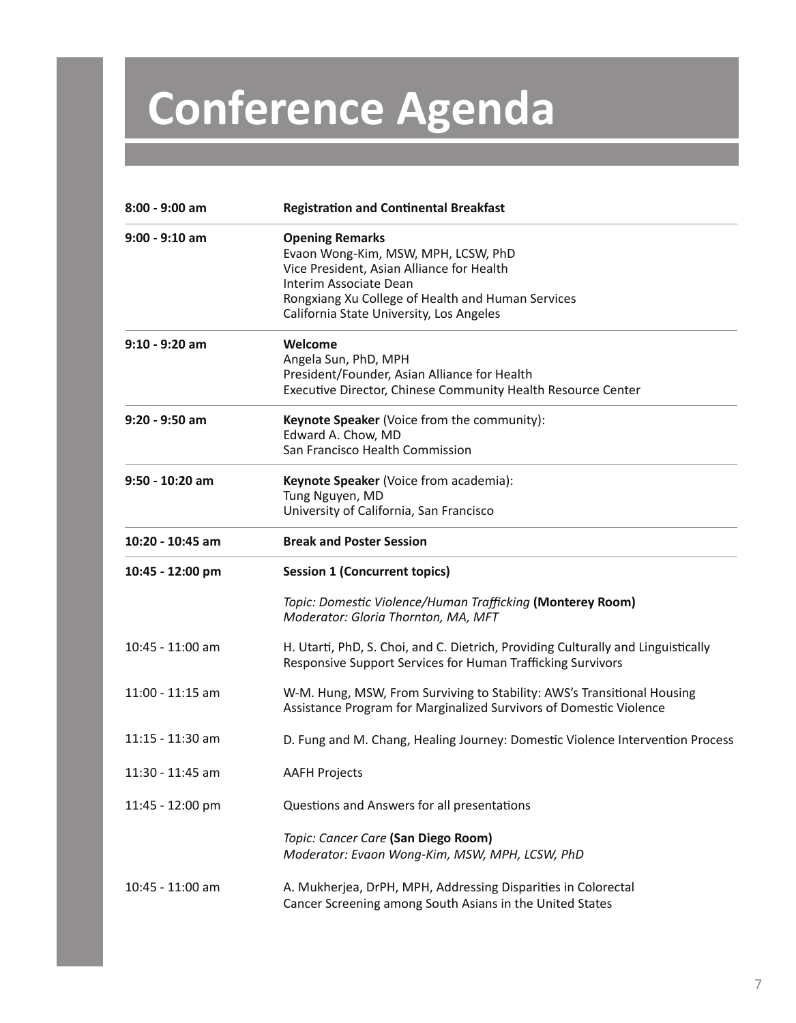## **Conference Agenda**

| 8:00 - 9:00 am     | <b>Registration and Continental Breakfast</b>                                                                                                                                                                                         |
|--------------------|---------------------------------------------------------------------------------------------------------------------------------------------------------------------------------------------------------------------------------------|
| $9:00 - 9:10$ am   | <b>Opening Remarks</b><br>Evaon Wong-Kim, MSW, MPH, LCSW, PhD<br>Vice President, Asian Alliance for Health<br>Interim Associate Dean<br>Rongxiang Xu College of Health and Human Services<br>California State University, Los Angeles |
| $9:10 - 9:20$ am   | Welcome<br>Angela Sun, PhD, MPH<br>President/Founder, Asian Alliance for Health<br>Executive Director, Chinese Community Health Resource Center                                                                                       |
| $9:20 - 9:50$ am   | Keynote Speaker (Voice from the community):<br>Edward A. Chow, MD<br>San Francisco Health Commission                                                                                                                                  |
| 9:50 - 10:20 am    | Keynote Speaker (Voice from academia):<br>Tung Nguyen, MD<br>University of California, San Francisco                                                                                                                                  |
| 10:20 - 10:45 am   | <b>Break and Poster Session</b>                                                                                                                                                                                                       |
|                    |                                                                                                                                                                                                                                       |
| 10:45 - 12:00 pm   | <b>Session 1 (Concurrent topics)</b>                                                                                                                                                                                                  |
|                    | Topic: Domestic Violence/Human Trafficking (Monterey Room)<br>Moderator: Gloria Thornton, MA, MFT                                                                                                                                     |
| 10:45 - 11:00 am   | H. Utarti, PhD, S. Choi, and C. Dietrich, Providing Culturally and Linguistically<br>Responsive Support Services for Human Trafficking Survivors                                                                                      |
| $11:00 - 11:15$ am | W-M. Hung, MSW, From Surviving to Stability: AWS's Transitional Housing<br>Assistance Program for Marginalized Survivors of Domestic Violence                                                                                         |
| 11:15 - 11:30 am   | D. Fung and M. Chang, Healing Journey: Domestic Violence Intervention Process                                                                                                                                                         |
| 11:30 - 11:45 am   | <b>AAFH Projects</b>                                                                                                                                                                                                                  |
| 11:45 - 12:00 pm   | Questions and Answers for all presentations                                                                                                                                                                                           |
|                    | Topic: Cancer Care (San Diego Room)<br>Moderator: Evaon Wong-Kim, MSW, MPH, LCSW, PhD                                                                                                                                                 |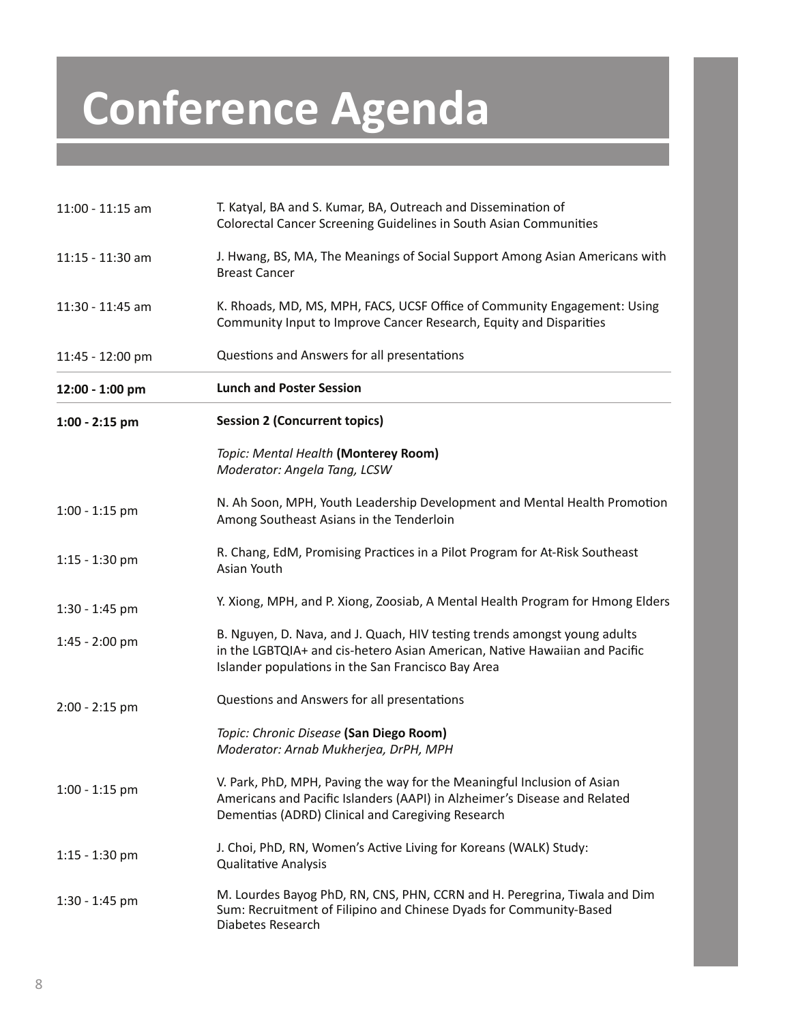## **Conference Agenda**

| $11:00 - 11:15$ am | T. Katyal, BA and S. Kumar, BA, Outreach and Dissemination of<br>Colorectal Cancer Screening Guidelines in South Asian Communities                                                                            |
|--------------------|---------------------------------------------------------------------------------------------------------------------------------------------------------------------------------------------------------------|
| $11:15 - 11:30$ am | J. Hwang, BS, MA, The Meanings of Social Support Among Asian Americans with<br><b>Breast Cancer</b>                                                                                                           |
| 11:30 - 11:45 am   | K. Rhoads, MD, MS, MPH, FACS, UCSF Office of Community Engagement: Using<br>Community Input to Improve Cancer Research, Equity and Disparities                                                                |
| 11:45 - 12:00 pm   | Questions and Answers for all presentations                                                                                                                                                                   |
| 12:00 - 1:00 pm    | <b>Lunch and Poster Session</b>                                                                                                                                                                               |
| $1:00 - 2:15$ pm   | <b>Session 2 (Concurrent topics)</b>                                                                                                                                                                          |
|                    | Topic: Mental Health (Monterey Room)<br>Moderator: Angela Tang, LCSW                                                                                                                                          |
| $1:00 - 1:15$ pm   | N. Ah Soon, MPH, Youth Leadership Development and Mental Health Promotion<br>Among Southeast Asians in the Tenderloin                                                                                         |
| $1:15 - 1:30$ pm   | R. Chang, EdM, Promising Practices in a Pilot Program for At-Risk Southeast<br>Asian Youth                                                                                                                    |
| $1:30 - 1:45$ pm   | Y. Xiong, MPH, and P. Xiong, Zoosiab, A Mental Health Program for Hmong Elders                                                                                                                                |
| $1:45 - 2:00$ pm   | B. Nguyen, D. Nava, and J. Quach, HIV testing trends amongst young adults<br>in the LGBTQIA+ and cis-hetero Asian American, Native Hawaiian and Pacific<br>Islander populations in the San Francisco Bay Area |
| $2:00 - 2:15$ pm   | Questions and Answers for all presentations                                                                                                                                                                   |
|                    | Topic: Chronic Disease (San Diego Room)<br>Moderator: Arnab Mukherjea, DrPH, MPH                                                                                                                              |
| $1:00 - 1:15$ pm   | V. Park, PhD, MPH, Paving the way for the Meaningful Inclusion of Asian<br>Americans and Pacific Islanders (AAPI) in Alzheimer's Disease and Related<br>Dementias (ADRD) Clinical and Caregiving Research     |
| $1:15 - 1:30$ pm   | J. Choi, PhD, RN, Women's Active Living for Koreans (WALK) Study:<br><b>Qualitative Analysis</b>                                                                                                              |
| $1:30 - 1:45$ pm   | M. Lourdes Bayog PhD, RN, CNS, PHN, CCRN and H. Peregrina, Tiwala and Dim<br>Sum: Recruitment of Filipino and Chinese Dyads for Community-Based<br>Diabetes Research                                          |